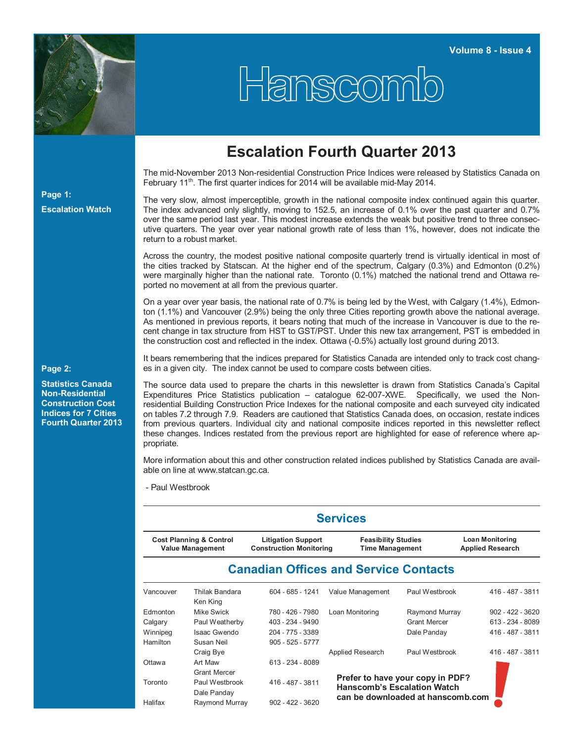

Hanscomb

## **Escalation Fourth Quarter 2013**

The mid-November 2013 Non-residential Construction Price Indices were released by Statistics Canada on February 11<sup>th</sup>. The first quarter indices for 2014 will be available mid-May 2014.

The very slow, almost imperceptible, growth in the national composite index continued again this quarter. The index advanced only slightly, moving to 152.5, an increase of 0.1% over the past quarter and 0.7% over the same period last year. This modest increase extends the weak but positive trend to three consecutive quarters. The year over year national growth rate of less than 1%, however, does not indicate the return to a robust market.

Across the country, the modest positive national composite quarterly trend is virtually identical in most of the cities tracked by Statscan. At the higher end of the spectrum, Calgary (0.3%) and Edmonton (0.2%) were marginally higher than the national rate. Toronto (0.1%) matched the national trend and Ottawa reported no movement at all from the previous quarter.

On a year over year basis, the national rate of 0.7% is being led by the West, with Calgary (1.4%), Edmonton (1.1%) and Vancouver (2.9%) being the only three Cities reporting growth above the national average. As mentioned in previous reports, it bears noting that much of the increase in Vancouver is due to the recent change in tax structure from HST to GST/PST. Under this new tax arrangement, PST is embedded in the construction cost and reflected in the index. Ottawa (-0.5%) actually lost ground during 2013.

It bears remembering that the indices prepared for Statistics Canada are intended only to track cost changes in a given city. The index cannot be used to compare costs between cities.

The source data used to prepare the charts in this newsletter is drawn from Statistics Canada's Capital Expenditures Price Statistics publication – catalogue 62-007-XWE. Specifically, we used the Nonresidential Building Construction Price Indexes for the national composite and each surveyed city indicated on tables 7.2 through 7.9. Readers are cautioned that Statistics Canada does, on occasion, restate indices from previous quarters. Individual city and national composite indices reported in this newsletter reflect these changes. Indices restated from the previous report are highlighted for ease of reference where appropriate.

More information about this and other construction related indices published by Statistics Canada are available on line at www.statcan.gc.ca.

- Paul Westbrook

|                                                               | <b>Services</b>               |                                                             |                                                                                                             |                                                   |                    |  |  |  |  |  |  |  |  |
|---------------------------------------------------------------|-------------------------------|-------------------------------------------------------------|-------------------------------------------------------------------------------------------------------------|---------------------------------------------------|--------------------|--|--|--|--|--|--|--|--|
| <b>Cost Planning &amp; Control</b><br><b>Value Management</b> |                               | <b>Litigation Support</b><br><b>Construction Monitoring</b> | <b>Feasibility Studies</b><br><b>Time Management</b>                                                        | <b>Loan Monitoring</b><br><b>Applied Research</b> |                    |  |  |  |  |  |  |  |  |
|                                                               |                               | <b>Canadian Offices and Service Contacts</b>                |                                                                                                             |                                                   |                    |  |  |  |  |  |  |  |  |
| Vancouver                                                     | Thilak Bandara<br>Ken King    | 604 - 685 - 1241                                            | Value Management                                                                                            | Paul Westbrook                                    | 416 - 487 - 3811   |  |  |  |  |  |  |  |  |
| Edmonton                                                      | Mike Swick                    | 780 - 426 - 7980                                            | Loan Monitoring                                                                                             | Raymond Murray                                    | $902 - 422 - 3620$ |  |  |  |  |  |  |  |  |
| Calgary                                                       | Paul Weatherby                | 403 - 234 - 9490                                            |                                                                                                             | <b>Grant Mercer</b>                               | 613 - 234 - 8089   |  |  |  |  |  |  |  |  |
| Winnipeg                                                      | Isaac Gwendo                  | 204 - 775 - 3389                                            |                                                                                                             | Dale Panday                                       | 416 - 487 - 3811   |  |  |  |  |  |  |  |  |
| Hamilton                                                      | Susan Neil                    | $905 - 525 - 5777$                                          |                                                                                                             |                                                   |                    |  |  |  |  |  |  |  |  |
|                                                               | Craig Bye                     |                                                             | Applied Research                                                                                            | Paul Westbrook                                    | 416 - 487 - 3811   |  |  |  |  |  |  |  |  |
| Ottawa                                                        | Art Maw                       | 613 - 234 - 8089                                            |                                                                                                             |                                                   |                    |  |  |  |  |  |  |  |  |
|                                                               | <b>Grant Mercer</b>           |                                                             |                                                                                                             |                                                   |                    |  |  |  |  |  |  |  |  |
| Toronto                                                       | Paul Westbrook<br>Dale Panday | 416 - 487 - 3811                                            | Prefer to have your copy in PDF?<br><b>Hanscomb's Escalation Watch</b><br>can be downloaded at hanscomb.com |                                                   |                    |  |  |  |  |  |  |  |  |
| Halifax                                                       | Raymond Murray                | $902 - 422 - 3620$                                          |                                                                                                             |                                                   |                    |  |  |  |  |  |  |  |  |

**Page 2:** 

**Page 1:** 

**Escalation Watch**

**Statistics Canada Non-Residential Construction Cost Indices for 7 Cities Fourth Quarter 2013**